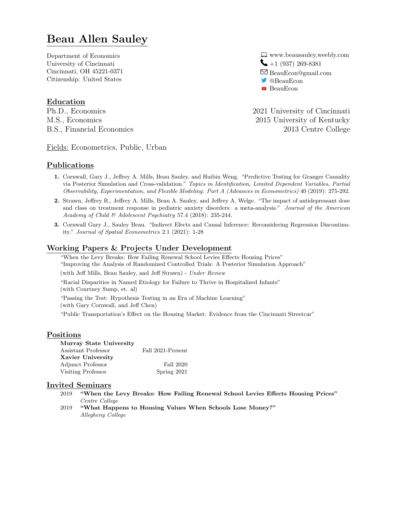# Beau Allen Sauley

Department of Economics University of Cincinnati Cincinnati, OH 45221-0371 Citizenship: United States

# Education

Fields: Econometrics, Public, Urban

# Publications

 $\Box$  www.beausauley.weebly.com  $-1 (937) 269 - 8381$  $\Box$  BeauEcon@gmail.com @BeauEcon **BeauEcon** 

Ph.D., Economics 2021 University of Cincinnati M.S., Economics 2015 University of Kentucky B.S., Financial Economics 2013 Centre College

- 1. Cornwall, Gary J., Jeffrey A. Mills, Beau Sauley, and Huibin Weng. "Predictive Testing for Granger Causality via Posterior Simulation and Cross-validation." Topics in Identification, Limited Dependent Variables, Partial Observability, Experimentation, and Flexible Modeling: Part A (Advances in Econometrics) 40 (2019): 275-292.
- 2. Strawn, Jeffrey R., Jeffrey A. Mills, Beau A. Sauley, and Jeffrey A. Welge. "The impact of antidepressant dose and class on treatment response in pediatric anxiety disorders: a meta-analysis." Journal of the American Academy of Child & Adolescent Psychiatry 57.4 (2018): 235-244.
- 3. Cornwall Gary J., Sauley Beau. "Indirect Efects and Causal Inference: Reconsidering Regression Discontinuity." Journal of Spatial Econometrics 2.1 (2021): 1-28

# Working Papers & Projects Under Development

"When the Levy Breaks: How Failing Renewal School Levies Effects Housing Prices" "Improving the Analysis of Randomized Controlled Trials: A Posterior Simulation Approach" (with Jeff Mills, Beau Sauley, and Jeff Strawn) - Under Review

"Racial Disparities in Named Etiology for Failure to Thrive in Hospitalized Infants" (with Courtney Sump, et. al)

"Passing the Test: Hypothesis Testing in an Era of Machine Learning" (with Gary Cornwall, and Jeff Chen)

"Public Transportation's Effect on the Housing Market: Evidence from the Cincinnati Streetcar"

## Positions

| Murray State University |                   |
|-------------------------|-------------------|
| Assistant Professor     | Fall 2021-Present |
| Xavier University       |                   |
| Adjunct Professor       | Fall 2020         |
| Visiting Professor      | Spring 2021       |

### Invited Seminars

- 2019 "When the Levy Breaks: How Failing Renewal School Levies Effects Housing Prices" Centre College
- 2019 "What Happens to Housing Values When Schools Lose Money?" Allegheny College